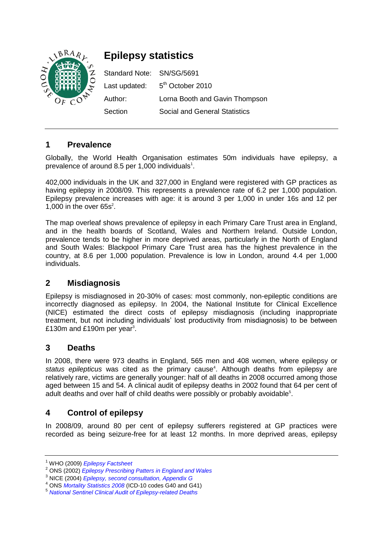

# **Epilepsy statistics**

Standard Note: SN/SG/5691 Last updated: 5<sup>th</sup> October 2010 Author: Lorna Booth and Gavin Thompson Section Social and General Statistics

#### **1 Prevalence**

Globally, the World Health Organisation estimates 50m individuals have epilepsy, a prevalence of around 8.5 per 1,000 individuals $^{\text{1}}$ .

402,000 individuals in the UK and 327,000 in England were registered with GP practices as having epilepsy in 2008/09. This represents a prevalence rate of 6.2 per 1,000 population. Epilepsy prevalence increases with age: it is around 3 per 1,000 in under 16s and 12 per 1,000 in the over  $65s^2$ .

The map overleaf shows prevalence of epilepsy in each Primary Care Trust area in England, and in the health boards of Scotland, Wales and Northern Ireland. Outside London, prevalence tends to be higher in more deprived areas, particularly in the North of England and South Wales: Blackpool Primary Care Trust area has the highest prevalence in the country, at 8.6 per 1,000 population. Prevalence is low in London, around 4.4 per 1,000 individuals.

#### **2 Misdiagnosis**

Epilepsy is misdiagnosed in 20-30% of cases: most commonly, non-epileptic conditions are incorrectly diagnosed as epilepsy. In 2004, the National Institute for Clinical Excellence (NICE) estimated the direct costs of epilepsy misdiagnosis (including inappropriate treatment, but not including individuals' lost productivity from misdiagnosis) to be between £130m and £190m per year<sup>3</sup>.

#### **3 Deaths**

In 2008, there were 973 deaths in England, 565 men and 408 women, where epilepsy or status epilepticus was cited as the primary cause<sup>4</sup>. Although deaths from epilepsy are relatively rare, victims are generally younger: half of all deaths in 2008 occurred among those aged between 15 and 54. A clinical audit of epilepsy deaths in 2002 found that 64 per cent of adult deaths and over half of child deaths were possibly or probably avoidable $5$ .

## **4 Control of epilepsy**

In 2008/09, around 80 per cent of epilepsy sufferers registered at GP practices were recorded as being seizure-free for at least 12 months. In more deprived areas, epilepsy

<sup>1</sup> WHO (2009) *[Epilepsy Factsheet](http://www.who.int/mediacentre/factsheets/fs999/en/index.html)*

<sup>2</sup> ONS (2002) *[Epilepsy Prescribing Patters in England and Wales](http://www.statistics.gov.uk/articles/hsq/HSQ15Epilepsy.pdf)*

<sup>3</sup> NICE (2004) *[Epilepsy, second consultation, Appendix G](http://www.nice.org.uk/nicemedia/live/10953/29499/29499.pdf)*

<sup>4</sup> ONS *[Mortality Statistics 2008](http://www.statistics.gov.uk/downloads/theme_health/DR2008/DR_08.pdf)* (ICD-10 codes G40 and G41)

<sup>5</sup> *[National Sentinel Clinical Audit of Epilepsy-related Deaths](http://www.archive2.official-documents.co.uk/document/reps/nscaerd/nscaerd.pdf)*